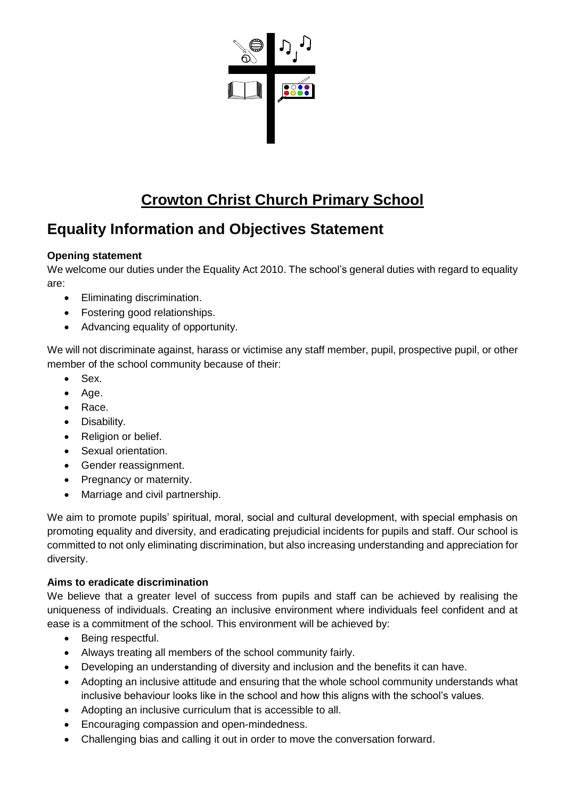

# **Crowton Christ Church Primary School**

# **Equality Information and Objectives Statement**

## **Opening statement**

We welcome our duties under the Equality Act 2010. The school's general duties with regard to equality are:

- Eliminating discrimination.
- Fostering good relationships.
- Advancing equality of opportunity.

We will not discriminate against, harass or victimise any staff member, pupil, prospective pupil, or other member of the school community because of their:

- Sex.
- Age.
- Race.
- Disability.
- Religion or belief.
- Sexual orientation.
- Gender reassignment.
- Pregnancy or maternity.
- Marriage and civil partnership.

We aim to promote pupils' spiritual, moral, social and cultural development, with special emphasis on promoting equality and diversity, and eradicating prejudicial incidents for pupils and staff. Our school is committed to not only eliminating discrimination, but also increasing understanding and appreciation for diversity.

## **Aims to eradicate discrimination**

We believe that a greater level of success from pupils and staff can be achieved by realising the uniqueness of individuals. Creating an inclusive environment where individuals feel confident and at ease is a commitment of the school. This environment will be achieved by:

- Being respectful.
- Always treating all members of the school community fairly.
- Developing an understanding of diversity and inclusion and the benefits it can have.
- Adopting an inclusive attitude and ensuring that the whole school community understands what inclusive behaviour looks like in the school and how this aligns with the school's values.
- Adopting an inclusive curriculum that is accessible to all.
- Encouraging compassion and open-mindedness.
- Challenging bias and calling it out in order to move the conversation forward.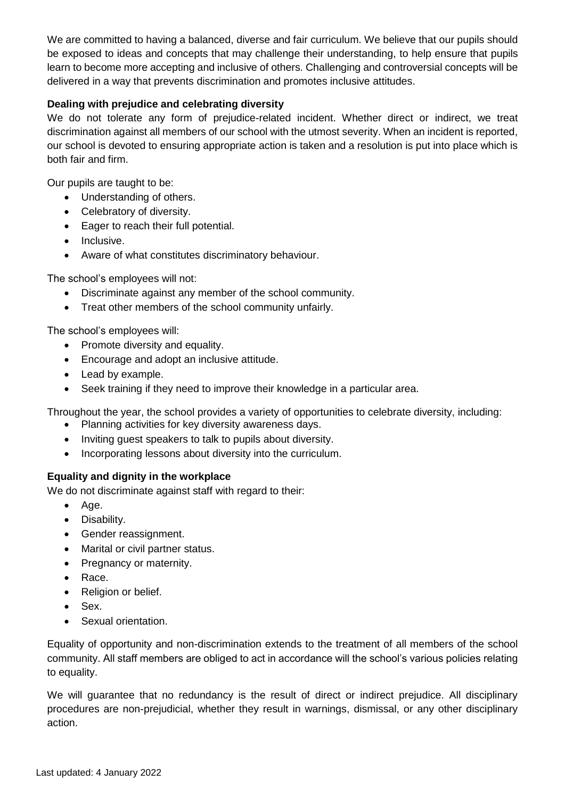We are committed to having a balanced, diverse and fair curriculum. We believe that our pupils should be exposed to ideas and concepts that may challenge their understanding, to help ensure that pupils learn to become more accepting and inclusive of others. Challenging and controversial concepts will be delivered in a way that prevents discrimination and promotes inclusive attitudes.

## **Dealing with prejudice and celebrating diversity**

We do not tolerate any form of prejudice-related incident. Whether direct or indirect, we treat discrimination against all members of our school with the utmost severity. When an incident is reported, our school is devoted to ensuring appropriate action is taken and a resolution is put into place which is both fair and firm.

Our pupils are taught to be:

- Understanding of others.
- Celebratory of diversity.
- Eager to reach their full potential.
- Inclusive.
- Aware of what constitutes discriminatory behaviour.

The school's employees will not:

- Discriminate against any member of the school community.
- Treat other members of the school community unfairly.

The school's employees will:

- Promote diversity and equality.
- Encourage and adopt an inclusive attitude.
- Lead by example.
- Seek training if they need to improve their knowledge in a particular area.

Throughout the year, the school provides a variety of opportunities to celebrate diversity, including:

- Planning activities for key diversity awareness days.
- Inviting guest speakers to talk to pupils about diversity.
- Incorporating lessons about diversity into the curriculum.

#### **Equality and dignity in the workplace**

We do not discriminate against staff with regard to their:

- $\bullet$  Age.
- Disability.
- Gender reassignment.
- Marital or civil partner status.
- Pregnancy or maternity.
- Race.
- Religion or belief.
- Sex.
- Sexual orientation.

Equality of opportunity and non-discrimination extends to the treatment of all members of the school community. All staff members are obliged to act in accordance will the school's various policies relating to equality.

We will guarantee that no redundancy is the result of direct or indirect prejudice. All disciplinary procedures are non-prejudicial, whether they result in warnings, dismissal, or any other disciplinary action.